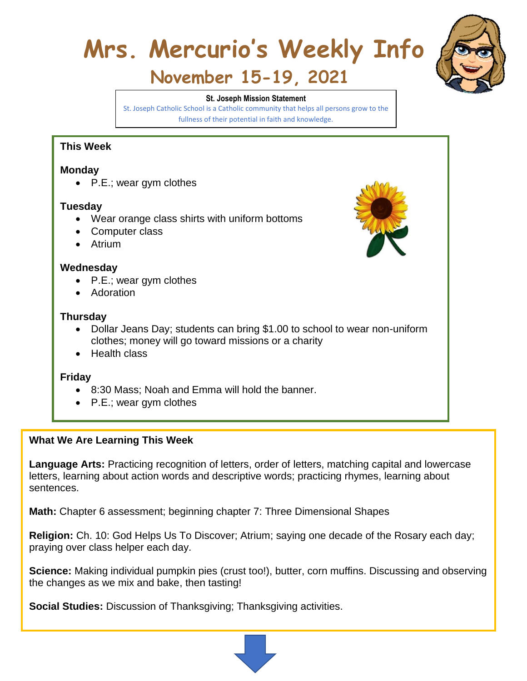# **Mrs. Mercurio's Weekly Info**



## **November 15-19, 2021**

#### **St. Joseph Mission Statement**

St. Joseph Catholic School is a Catholic community that helps all persons grow to the fullness of their potential in faith and knowledge.

#### **This Week**

#### **Monday**

• P.E.; wear gym clothes

#### **Tuesday**

- Wear orange class shirts with uniform bottoms
- Computer class
- Atrium

#### **Wednesday**

- P.E.; wear gym clothes
- Adoration

#### **Thursday**

- Dollar Jeans Day; students can bring \$1.00 to school to wear non-uniform clothes; money will go toward missions or a charity
- Health class

#### **Friday**

- 8:30 Mass; Noah and Emma will hold the banner.
- P.E.; wear gym clothes

#### **What We Are Learning This Week**

**Language Arts:** Practicing recognition of letters, order of letters, matching capital and lowercase letters, learning about action words and descriptive words; practicing rhymes, learning about sentences.

**Math:** Chapter 6 assessment; beginning chapter 7: Three Dimensional Shapes

**Religion:** Ch. 10: God Helps Us To Discover; Atrium; saying one decade of the Rosary each day; praying over class helper each day.

**Science:** Making individual pumpkin pies (crust too!), butter, corn muffins. Discussing and observing the changes as we mix and bake, then tasting!

**Social Studies:** Discussion of Thanksgiving; Thanksgiving activities.